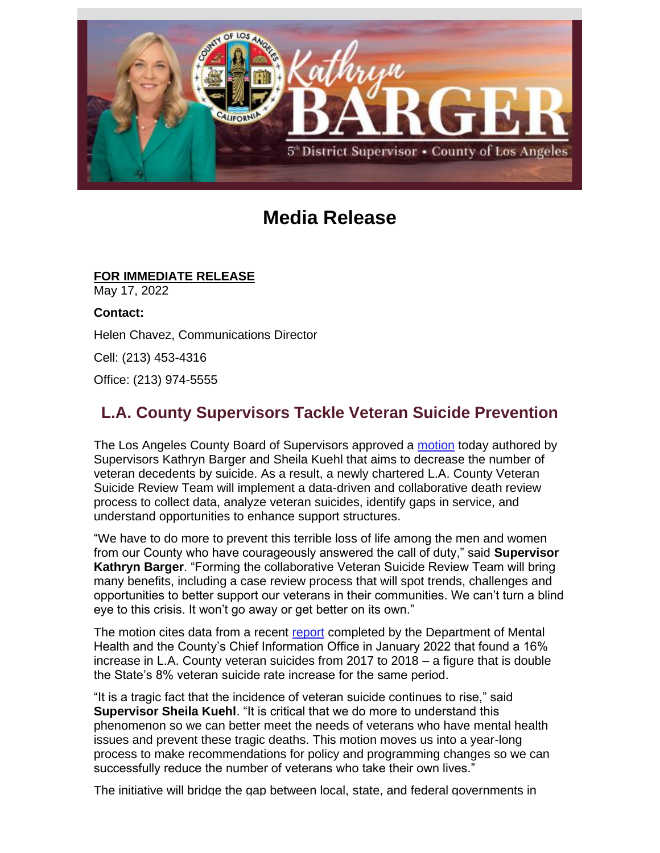

## **Media Release**

## **FOR IMMEDIATE RELEASE**

May 17, 2022

**Contact:** Helen Chavez, Communications Director

Cell: (213) 453-4316

Office: (213) 974-5555

## **L.A. County Supervisors Tackle Veteran Suicide Prevention**

The Los Angeles County Board of Supervisors approved a [motion](https://nam12.safelinks.protection.outlook.com/?url=https%3A%2F%2Flnks.gd%2Fl%2FeyJhbGciOiJIUzI1NiJ9.eyJidWxsZXRpbl9saW5rX2lkIjoxMDEsInVyaSI6ImJwMjpjbGljayIsImJ1bGxldGluX2lkIjoiMjAyMjA1MTcuNTgwNTQ0NzEiLCJ1cmwiOiJodHRwOi8vZmlsZS5sYWNvdW50eS5nb3YvU0RTSW50ZXIvYm9zL3N1cGRvY3MvMTY5MDI5LnBkZj91dG1fY29udGVudD0mdXRtX21lZGl1bT1lbWFpbCZ1dG1fbmFtZT0mdXRtX3NvdXJjZT1nb3ZkZWxpdmVyeSZ1dG1fdGVybT0ifQ.HXA2Y7ePCRKttFbmupjsvtA9yCAssaftU_Lc1Gfe4-g%2Fs%2F1843900806%2Fbr%2F131464931031-l&data=05%7C01%7C%7Cd58cf538251c4e2bb19a08da3861de0a%7C84df9e7fe9f640afb435aaaaaaaaaaaa%7C1%7C0%7C637884290232831548%7CUnknown%7CTWFpbGZsb3d8eyJWIjoiMC4wLjAwMDAiLCJQIjoiV2luMzIiLCJBTiI6Ik1haWwiLCJXVCI6Mn0%3D%7C3000%7C%7C%7C&sdata=XhevPAoxRqTzgdyjuUFTEEmyxrbDlzdRzr4yPKOQL5Y%3D&reserved=0) today authored by Supervisors Kathryn Barger and Sheila Kuehl that aims to decrease the number of veteran decedents by suicide. As a result, a newly chartered L.A. County Veteran Suicide Review Team will implement a data-driven and collaborative death review process to collect data, analyze veteran suicides, identify gaps in service, and understand opportunities to enhance support structures.

"We have to do more to prevent this terrible loss of life among the men and women from our County who have courageously answered the call of duty," said **Supervisor Kathryn Barger**. "Forming the collaborative Veteran Suicide Review Team will bring many benefits, including a case review process that will spot trends, challenges and opportunities to better support our veterans in their communities. We can't turn a blind eye to this crisis. It won't go away or get better on its own."

The motion cites data from a recent [report](https://nam12.safelinks.protection.outlook.com/?url=https%3A%2F%2Flnks.gd%2Fl%2FeyJhbGciOiJIUzI1NiJ9.eyJidWxsZXRpbl9saW5rX2lkIjoxMDIsInVyaSI6ImJwMjpjbGljayIsImJ1bGxldGluX2lkIjoiMjAyMjA1MTcuNTgwNTQ0NzEiLCJ1cmwiOiJodHRwOi8vZmlsZS5sYWNvdW50eS5nb3YvU0RTSW50ZXIvYm9zL3N1cGRvY3MvMTU4MTA0LnBkZj91dG1fY29udGVudD0mdXRtX21lZGl1bT1lbWFpbCZ1dG1fbmFtZT0mdXRtX3NvdXJjZT1nb3ZkZWxpdmVyeSZ1dG1fdGVybT0ifQ.XEV_jziOL4UHGHDHskYDI-0jyjH6fy0u_PsTtxWSHcA%2Fs%2F1843900806%2Fbr%2F131464931031-l&data=05%7C01%7C%7Cd58cf538251c4e2bb19a08da3861de0a%7C84df9e7fe9f640afb435aaaaaaaaaaaa%7C1%7C0%7C637884290232831548%7CUnknown%7CTWFpbGZsb3d8eyJWIjoiMC4wLjAwMDAiLCJQIjoiV2luMzIiLCJBTiI6Ik1haWwiLCJXVCI6Mn0%3D%7C3000%7C%7C%7C&sdata=BNYSQEZLuNDyBHsE7yailFu7S6FpumZO3stxkOZaqYM%3D&reserved=0) completed by the Department of Mental Health and the County's Chief Information Office in January 2022 that found a 16% increase in L.A. County veteran suicides from 2017 to 2018 – a figure that is double the State's 8% veteran suicide rate increase for the same period.

"It is a tragic fact that the incidence of veteran suicide continues to rise," said **Supervisor Sheila Kuehl**. "It is critical that we do more to understand this phenomenon so we can better meet the needs of veterans who have mental health issues and prevent these tragic deaths. This motion moves us into a year-long process to make recommendations for policy and programming changes so we can successfully reduce the number of veterans who take their own lives."

The initiative will bridge the gap between local, state, and federal governments in